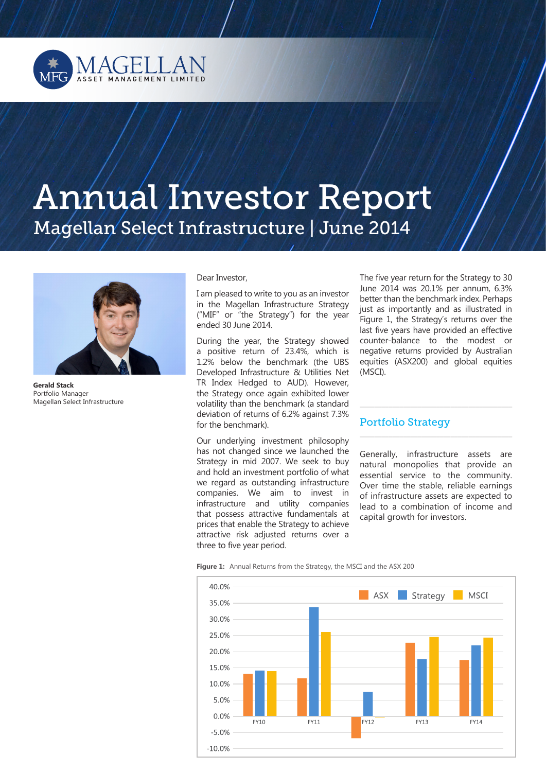

# Annual Investor Report Magellan Select Infrastructure | June 2014



**Gerald Stack**  Portfolio Manager Magellan Select Infrastructure

#### Dear Investor,

I am pleased to write to you as an investor in the Magellan Infrastructure Strategy ("MIF" or "the Strategy") for the year ended 30 June 2014.

During the year, the Strategy showed a positive return of 23.4%, which is 1.2% below the benchmark (the UBS Developed Infrastructure & Utilities Net TR Index Hedged to AUD). However, the Strategy once again exhibited lower volatility than the benchmark (a standard deviation of returns of 6.2% against 7.3% for the benchmark).

Our underlying investment philosophy has not changed since we launched the Strategy in mid 2007. We seek to buy and hold an investment portfolio of what we regard as outstanding infrastructure companies. We aim to invest in infrastructure and utility companies that possess attractive fundamentals at prices that enable the Strategy to achieve attractive risk adjusted returns over a three to five year period.

The five year return for the Strategy to 30 June 2014 was 20.1% per annum, 6.3% better than the benchmark index. Perhaps just as importantly and as illustrated in Figure 1, the Strategy's returns over the last five years have provided an effective counter-balance to the modest or negative returns provided by Australian equities (ASX200) and global equities (MSCI).

#### Portfolio Strategy

Generally, infrastructure assets are natural monopolies that provide an essential service to the community. Over time the stable, reliable earnings of infrastructure assets are expected to lead to a combination of income and capital growth for investors.

\_\_\_\_\_\_\_\_\_\_\_\_\_\_\_\_\_\_\_\_\_\_\_\_\_\_\_\_\_\_\_\_\_\_\_\_\_\_\_\_\_\_

 $\overline{\phantom{a}}$  , and the contract of the contract of the contract of  $\overline{\phantom{a}}$ 

**Figure 1:** Annual Returns from the Strategy, the MSCI and the ASX 200

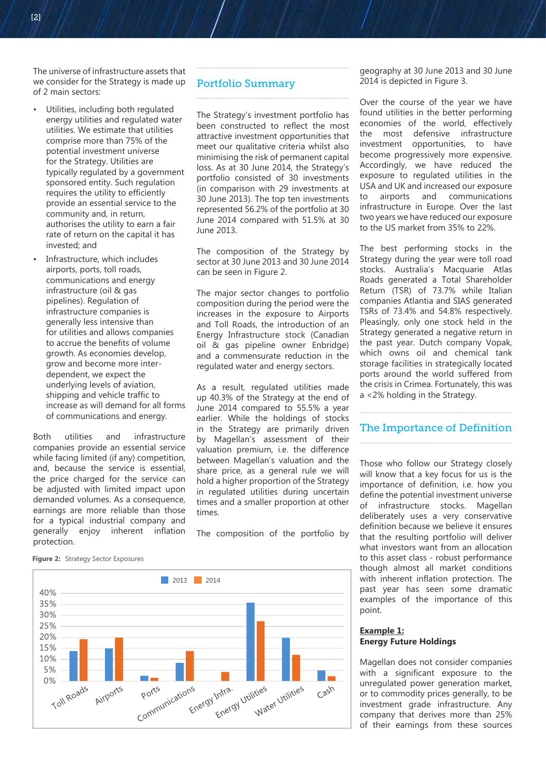The universe of infrastructure assets that we consider for the Strategy is made up of 2 main sectors:

- Utilities, including both regulated energy utilities and regulated water utilities. We estimate that utilities comprise more than 75% of the potential investment universe for the Strategy. Utilities are typically regulated by a government sponsored entity. Such regulation requires the utility to efficiently provide an essential service to the community and, in return, authorises the utility to earn a fair rate of return on the capital it has invested; and
- Infrastructure, which includes airports, ports, toll roads, communications and energy infrastructure (oil & gas pipelines). Regulation of infrastructure companies is generally less intensive than for utilities and allows companies to accrue the benefits of volume growth. As economies develop, grow and become more interdependent, we expect the underlying levels of aviation, shipping and vehicle traffic to increase as will demand for all forms of communications and energy.

Both utilities and infrastructure companies provide an essential service while facing limited (if any) competition, and, because the service is essential, the price charged for the service can be adjusted with limited impact upon demanded volumes. As a consequence, earnings are more reliable than those for a typical industrial company and generally enjoy inherent inflation protection.

## Portfolio Summary

The Strategy's investment portfolio has been constructed to reflect the most attractive investment opportunities that meet our qualitative criteria whilst also minimising the risk of permanent capital loss. As at 30 June 2014, the Strategy's portfolio consisted of 30 investments (in comparison with 29 investments at 30 June 2013). The top ten investments represented 56.2% of the portfolio at 30 June 2014 compared with 51.5% at 30 June 2013.

\_\_\_\_\_\_\_\_\_\_\_\_\_\_\_\_\_\_\_\_\_\_\_\_\_\_\_\_\_\_\_\_\_\_\_\_\_\_\_\_\_\_

 $\overline{\phantom{a}}$  , and the set of the set of the set of the set of the set of the set of the set of the set of the set of the set of the set of the set of the set of the set of the set of the set of the set of the set of the s

The composition of the Strategy by sector at 30 June 2013 and 30 June 2014 can be seen in Figure 2.

The major sector changes to portfolio composition during the period were the increases in the exposure to Airports and Toll Roads, the introduction of an Energy Infrastructure stock (Canadian oil & gas pipeline owner Enbridge) and a commensurate reduction in the regulated water and energy sectors.

As a result, regulated utilities made up 40.3% of the Strategy at the end of June 2014 compared to 55.5% a year earlier. While the holdings of stocks in the Strategy are primarily driven by Magellan's assessment of their valuation premium, i.e. the difference between Magellan's valuation and the share price, as a general rule we will hold a higher proportion of the Strategy in regulated utilities during uncertain times and a smaller proportion at other times.

The composition of the portfolio by

geography at 30 June 2013 and 30 June 2014 is depicted in Figure 3.

Over the course of the year we have found utilities in the better performing economies of the world, effectively the most defensive infrastructure investment opportunities, to have become progressively more expensive. Accordingly, we have reduced the exposure to regulated utilities in the USA and UK and increased our exposure to airports and communications infrastructure in Europe. Over the last two years we have reduced our exposure to the US market from 35% to 22%.

The best performing stocks in the Strategy during the year were toll road stocks. Australia's Macquarie Atlas Roads generated a Total Shareholder Return (TSR) of 73.7% while Italian companies Atlantia and SIAS generated TSRs of 73.4% and 54.8% respectively. Pleasingly, only one stock held in the Strategy generated a negative return in the past year. Dutch company Vopak, which owns oil and chemical tank storage facilities in strategically located ports around the world suffered from the crisis in Crimea. Fortunately, this was a <2% holding in the Strategy.

#### The Importance of Definition \_\_\_\_\_\_\_\_\_\_\_\_\_\_\_\_\_\_\_\_\_\_\_\_\_\_\_\_\_\_\_\_\_\_\_\_\_\_\_\_\_\_

\_\_\_\_\_\_\_\_\_\_\_\_\_\_\_\_\_\_\_\_\_\_\_\_\_\_\_\_\_\_\_\_\_\_\_\_\_\_\_\_\_\_

Those who follow our Strategy closely will know that a key focus for us is the importance of definition, i.e. how you define the potential investment universe of infrastructure stocks. Magellan deliberately uses a very conservative definition because we believe it ensures that the resulting portfolio will deliver what investors want from an allocation to this asset class - robust performance though almost all market conditions with inherent inflation protection. The past year has seen some dramatic examples of the importance of this point.

### **Example 1: Energy Future Holdings**

Magellan does not consider companies with a significant exposure to the unregulated power generation market, or to commodity prices generally, to be investment grade infrastructure. Any company that derives more than 25% of their earnings from these sources



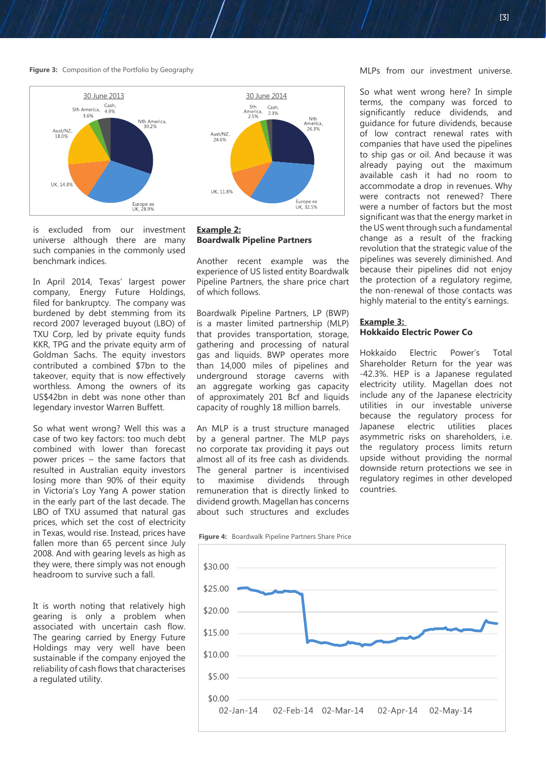#### **Figure 3:** Composition of the Portfolio by Geography



is excluded from our investment universe although there are many such companies in the commonly used benchmark indices.

In April 2014, Texas' largest power company, Energy Future Holdings, filed for bankruptcy. The company was burdened by debt stemming from its record 2007 leveraged buyout (LBO) of TXU Corp, led by private equity funds KKR, TPG and the private equity arm of Goldman Sachs. The equity investors contributed a combined \$7bn to the takeover, equity that is now effectively worthless. Among the owners of its US\$42bn in debt was none other than legendary investor Warren Buffett.

So what went wrong? Well this was a case of two key factors: too much debt combined with lower than forecast power prices – the same factors that resulted in Australian equity investors losing more than 90% of their equity in Victoria's Loy Yang A power station in the early part of the last decade. The LBO of TXU assumed that natural gas prices, which set the cost of electricity in Texas, would rise. Instead, prices have fallen more than 65 percent since July 2008. And with gearing levels as high as they were, there simply was not enough headroom to survive such a fall.

It is worth noting that relatively high gearing is only a problem when associated with uncertain cash flow. The gearing carried by Energy Future Holdings may very well have been sustainable if the company enjoyed the reliability of cash flows that characterises a regulated utility.

#### **Example 2: Boardwalk Pipeline Partners**

Another recent example was the experience of US listed entity Boardwalk Pipeline Partners, the share price chart of which follows.

Boardwalk Pipeline Partners, LP (BWP) is a master limited partnership (MLP) that provides transportation, storage, gathering and processing of natural gas and liquids. BWP operates more than 14,000 miles of pipelines and underground storage caverns with an aggregate working gas capacity of approximately 201 Bcf and liquids capacity of roughly 18 million barrels.

An MLP is a trust structure managed by a general partner. The MLP pays no corporate tax providing it pays out almost all of its free cash as dividends. The general partner is incentivised to maximise dividends through remuneration that is directly linked to dividend growth. Magellan has concerns about such structures and excludes

**Figure 4:** Boardwalk Pipeline Partners Share Price



MLPs from our investment universe.

So what went wrong here? In simple terms, the company was forced to significantly reduce dividends, and guidance for future dividends, because of low contract renewal rates with companies that have used the pipelines to ship gas or oil. And because it was already paying out the maximum available cash it had no room to accommodate a drop in revenues. Why were contracts not renewed? There were a number of factors but the most significant was that the energy market in the US went through such a fundamental change as a result of the fracking revolution that the strategic value of the pipelines was severely diminished. And because their pipelines did not enjoy the protection of a regulatory regime, the non-renewal of those contacts was highly material to the entity's earnings.

#### **Example 3: Hokkaido Electric Power Co**

Hokkaido Electric Power's Total Shareholder Return for the year was -42.3%. HEP is a Japanese regulated electricity utility. Magellan does not include any of the Japanese electricity utilities in our investable universe because the regulatory process for Japanese electric utilities places asymmetric risks on shareholders, i.e. the regulatory process limits return upside without providing the normal downside return protections we see in regulatory regimes in other developed countries.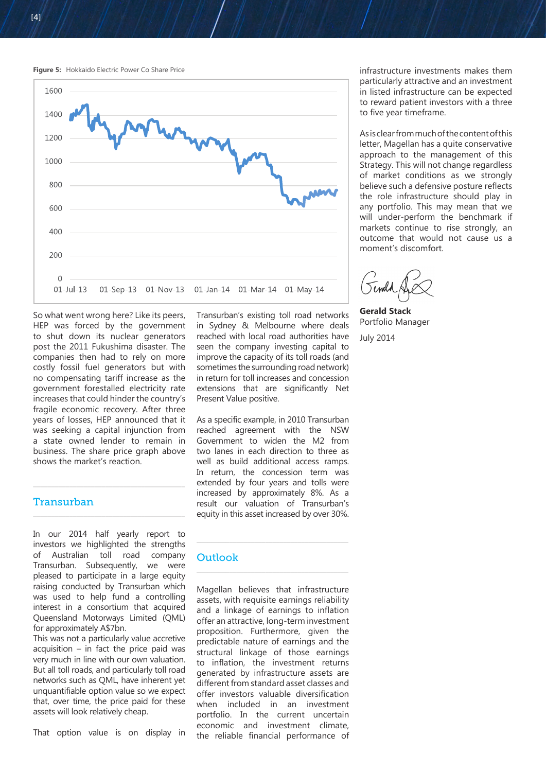



So what went wrong here? Like its peers, HEP was forced by the government to shut down its nuclear generators post the 2011 Fukushima disaster. The companies then had to rely on more costly fossil fuel generators but with no compensating tariff increase as the government forestalled electricity rate increases that could hinder the country's fragile economic recovery. After three years of losses, HEP announced that it was seeking a capital injunction from a state owned lender to remain in business. The share price graph above shows the market's reaction.

 $\frac{1}{2}$  , and the set of the set of the set of the set of the set of the set of the set of the set of the set of the set of the set of the set of the set of the set of the set of the set of the set of the set of the set

 $\frac{1}{2}$  , and the set of the set of the set of the set of the set of the set of the set of the set of the set of the set of the set of the set of the set of the set of the set of the set of the set of the set of the set

#### Transurban

In our 2014 half yearly report to investors we highlighted the strengths of Australian toll road company Transurban. Subsequently, we were pleased to participate in a large equity raising conducted by Transurban which was used to help fund a controlling interest in a consortium that acquired Queensland Motorways Limited (QML) for approximately A\$7bn.

This was not a particularly value accretive  $acquisition - in fact the price paid was$ very much in line with our own valuation. But all toll roads, and particularly toll road networks such as QML, have inherent yet unquantifiable option value so we expect that, over time, the price paid for these assets will look relatively cheap.

That option value is on display in

Transurban's existing toll road networks in Sydney & Melbourne where deals reached with local road authorities have seen the company investing capital to improve the capacity of its toll roads (and sometimes the surrounding road network) in return for toll increases and concession extensions that are significantly Net Present Value positive.

As a specific example, in 2010 Transurban reached agreement with the NSW Government to widen the M2 from two lanes in each direction to three as well as build additional access ramps. In return, the concession term was extended by four years and tolls were increased by approximately 8%. As a result our valuation of Transurban's equity in this asset increased by over 30%.

# **Outlook**

Magellan believes that infrastructure assets, with requisite earnings reliability and a linkage of earnings to inflation offer an attractive, long-term investment proposition. Furthermore, given the predictable nature of earnings and the structural linkage of those earnings to inflation, the investment returns generated by infrastructure assets are different from standard asset classes and offer investors valuable diversification when included in an investment portfolio. In the current uncertain economic and investment climate, the reliable financial performance of

 $\overline{\phantom{a}}$  , and the contract of the contract of the contract of the contract of the contract of the contract of the contract of the contract of the contract of the contract of the contract of the contract of the contrac

infrastructure investments makes them particularly attractive and an investment in listed infrastructure can be expected to reward patient investors with a three to five year timeframe.

As is clear from much of the content of this letter, Magellan has a quite conservative approach to the management of this Strategy. This will not change regardless of market conditions as we strongly believe such a defensive posture reflects the role infrastructure should play in any portfolio. This may mean that we will under-perform the benchmark if markets continue to rise strongly, an outcome that would not cause us a moment's discomfort.

**Gerald Stack** Portfolio Manager July 2014